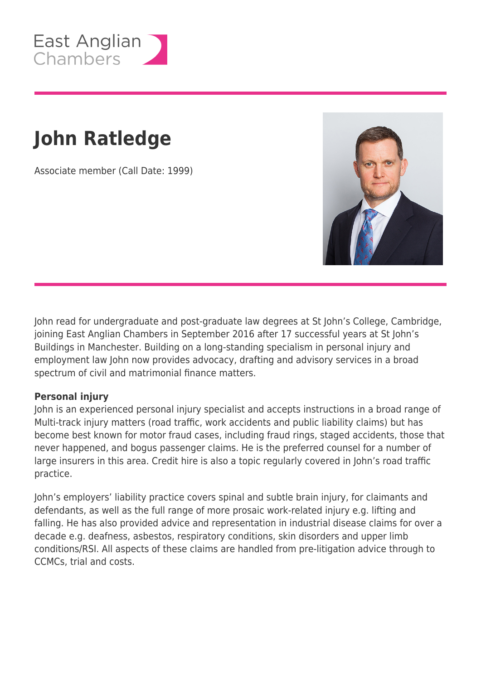

# **John Ratledge**

Associate member (Call Date: 1999)



John read for undergraduate and post-graduate law degrees at St John's College, Cambridge, joining East Anglian Chambers in September 2016 after 17 successful years at St John's Buildings in Manchester. Building on a long-standing specialism in personal injury and employment law John now provides advocacy, drafting and advisory services in a broad spectrum of civil and matrimonial finance matters.

#### **Personal injury**

John is an experienced personal injury specialist and accepts instructions in a broad range of Multi-track injury matters (road traffic, work accidents and public liability claims) but has become best known for motor fraud cases, including fraud rings, staged accidents, those that never happened, and bogus passenger claims. He is the preferred counsel for a number of large insurers in this area. Credit hire is also a topic regularly covered in John's road traffic practice.

John's employers' liability practice covers spinal and subtle brain injury, for claimants and defendants, as well as the full range of more prosaic work-related injury e.g. lifting and falling. He has also provided advice and representation in industrial disease claims for over a decade e.g. deafness, asbestos, respiratory conditions, skin disorders and upper limb conditions/RSI. All aspects of these claims are handled from pre-litigation advice through to CCMCs, trial and costs.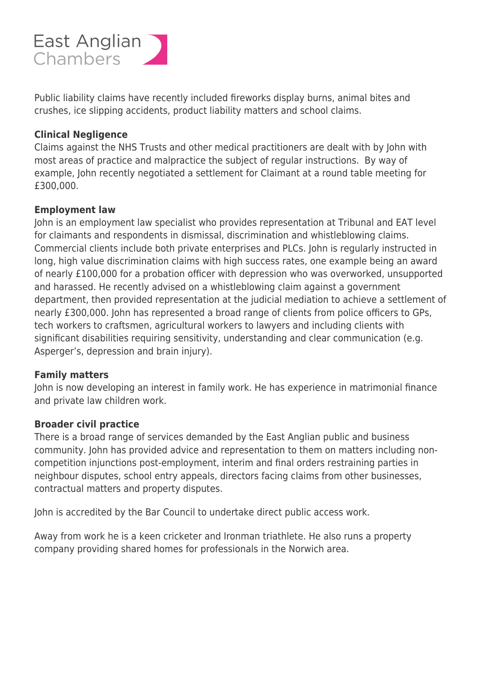## East Anglian Chambers

Public liability claims have recently included fireworks display burns, animal bites and crushes, ice slipping accidents, product liability matters and school claims.

#### **Clinical Negligence**

Claims against the NHS Trusts and other medical practitioners are dealt with by John with most areas of practice and malpractice the subject of regular instructions. By way of example, John recently negotiated a settlement for Claimant at a round table meeting for £300,000.

#### **Employment law**

John is an employment law specialist who provides representation at Tribunal and EAT level for claimants and respondents in dismissal, discrimination and whistleblowing claims. Commercial clients include both private enterprises and PLCs. John is regularly instructed in long, high value discrimination claims with high success rates, one example being an award of nearly £100,000 for a probation officer with depression who was overworked, unsupported and harassed. He recently advised on a whistleblowing claim against a government department, then provided representation at the judicial mediation to achieve a settlement of nearly £300,000. John has represented a broad range of clients from police officers to GPs, tech workers to craftsmen, agricultural workers to lawyers and including clients with significant disabilities requiring sensitivity, understanding and clear communication (e.g. Asperger's, depression and brain injury).

#### **Family matters**

John is now developing an interest in family work. He has experience in matrimonial finance and private law children work.

#### **Broader civil practice**

There is a broad range of services demanded by the East Anglian public and business community. John has provided advice and representation to them on matters including noncompetition injunctions post-employment, interim and final orders restraining parties in neighbour disputes, school entry appeals, directors facing claims from other businesses, contractual matters and property disputes.

John is accredited by the Bar Council to undertake direct public access work.

Away from work he is a keen cricketer and Ironman triathlete. He also runs a property company providing shared homes for professionals in the Norwich area.